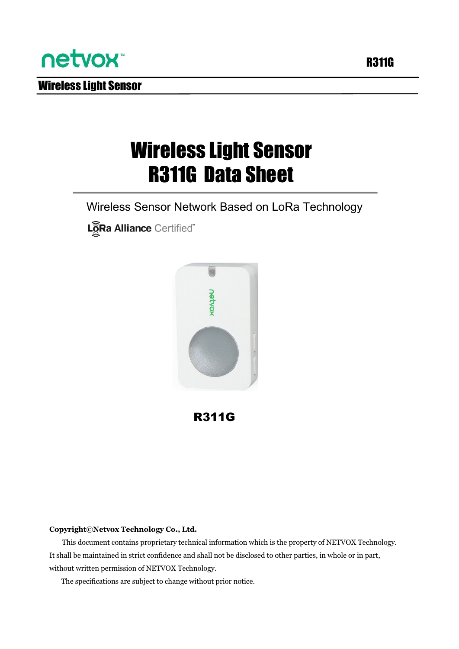

Wireless Light Sensor

## Wireless Light Sensor R311G Data Sheet

Wireless Sensor Network Based on LoRa Technology

LoRa Alliance Certified"



R311G

#### **Copyright©Netvox Technology Co., Ltd.**

This document contains proprietary technical information which is the property of NETVOX Technology. It shall be maintained in strict confidence and shall not be disclosed to other parties, in whole or in part, without written permission of NETVOX Technology.

The specifications are subject to change without prior notice.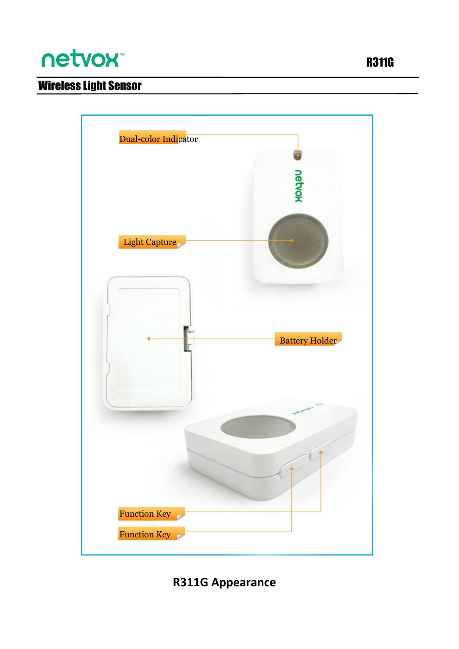# netvox<sup>\*</sup>



### **R311G Appearance**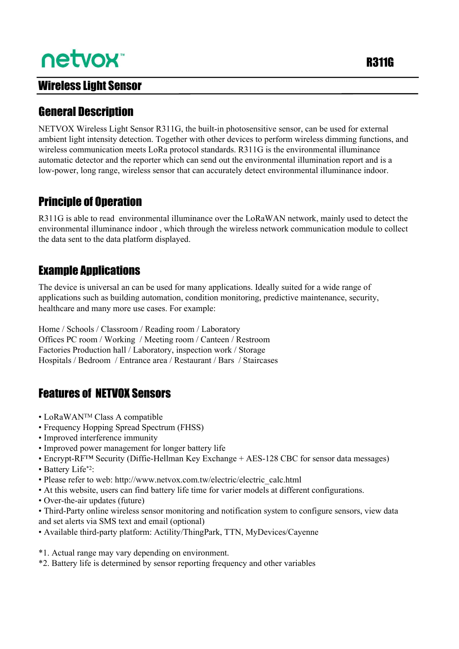# netvox<sup>\*</sup>

#### Wireless Light Sensor

#### **General Description**

NETVOX Wireless Light Sensor R311G, the built-in photosensitive sensor, can be used for external ambient light intensity detection. Together with other devices to perform wireless dimming functions, and wireless communication meets LoRa protocol standards. R311G is the environmental illuminance automatic detector and the reporter which can send out the environmental illumination report and is a low-power, long range, wireless sensor that can accurately detect environmental illuminance indoor.

#### Principle of Operation

R311G is able to read environmental illuminance over the LoRaWAN network, mainly used to detect the environmental illuminance indoor , which through the wireless network communication module to collect the data sent to the data platform displayed.

**Example Applications**<br>The device is universal an can be used for many applications. Ideally suited for a wide range of applications such as building automation, condition monitoring, predictive maintenance, security, healthcare and many more use cases. For example:

Home / Schools / Classroom / Reading room / Laboratory Offices PC room / Working / Meeting room / Canteen / Restroom Factories Production hall / Laboratory, inspection work / Storage Hospitals / Bedroom / Entrance area / Restaurant / Bars / Staircases

#### Features of NETVOX Sensors

- LoRaWANTM Class A compatible
- Frequency Hopping Spread Spectrum (FHSS)
- Improved interference immunity
- Improved power management for longer battery life
- Encrypt-RF<sup>TM</sup> Security (Diffie-Hellman Key Exchange + AES-128 CBC for sensor data messages)
- Battery Life\*2: :
- Please refer to web: http://www.netvox.com.tw/electric/electric\_calc.html
- At this website, users can find battery life time for varier models at different configurations.
- Over-the-air updates (future)
- Third-Party online wireless sensor monitoring and notification system to configure sensors, view data and set alerts via SMS text and email (optional)
- Available third-party platform: Actility/ThingPark, TTN, MyDevices/Cayenne
- \*1. Actual range may vary depending on environment.
- \*2. Battery life is determined by sensor reporting frequency and other variables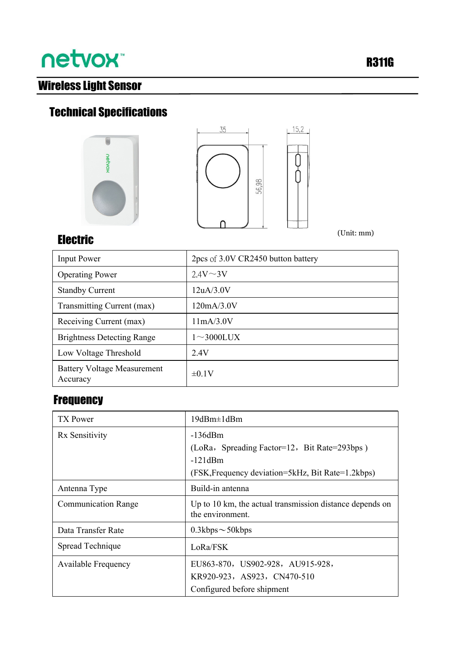# **netvox**

### Wireless Light Sensor

### Technical Specifications





(Unit: mm)

### Electric

| <b>Input Power</b>                             | 2pcs of 3.0V CR2450 button battery |
|------------------------------------------------|------------------------------------|
| <b>Operating Power</b>                         | $2.4V \sim 3V$                     |
| <b>Standby Current</b>                         | 12uA/3.0V                          |
| Transmitting Current (max)                     | 120mA/3.0V                         |
| Receiving Current (max)                        | 11mA/3.0V                          |
| <b>Brightness Detecting Range</b>              | $1 \sim 3000$ LUX                  |
| Low Voltage Threshold                          | 2.4V                               |
| <b>Battery Voltage Measurement</b><br>Accuracy | $\pm 0.1V$                         |

#### **Frequency**

| TX Power                   | 19dBm±1dBm                                                                   |  |
|----------------------------|------------------------------------------------------------------------------|--|
| Rx Sensitivity             | $-136dBm$                                                                    |  |
|                            | (LoRa, Spreading Factor=12, Bit Rate=293bps)                                 |  |
|                            | $-121dBm$                                                                    |  |
|                            | (FSK, Frequency deviation=5kHz, Bit Rate=1.2kbps)                            |  |
| Antenna Type               | Build-in antenna                                                             |  |
| <b>Communication Range</b> | Up to 10 km, the actual transmission distance depends on<br>the environment. |  |
| Data Transfer Rate         | $0.3kbps \sim 50kbps$                                                        |  |
| Spread Technique           | LoRa/FSK                                                                     |  |
| <b>Available Frequency</b> | EU863-870, US902-928, AU915-928,                                             |  |
|                            | KR920-923, AS923, CN470-510                                                  |  |
|                            | Configured before shipment                                                   |  |